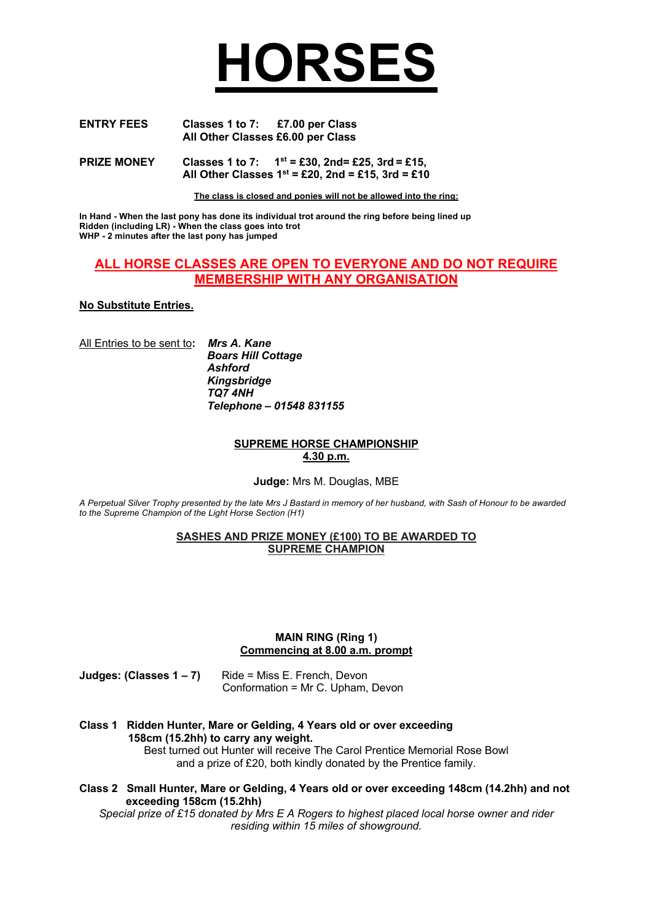# **HORSES**

| <b>ENTRY FEES</b> | Classes 1 to 7:                   | £7.00 per Class |
|-------------------|-----------------------------------|-----------------|
|                   | All Other Classes £6.00 per Class |                 |

**PRIZE MONEY Classes 1 to 7: 1st = £30, 2nd= £25, 3rd = £15, All Other Classes 1st = £20, 2nd = £15, 3rd = £10**

**The class is closed and ponies will not be allowed into the ring:**

**In Hand - When the last pony has done its individual trot around the ring before being lined up Ridden (including LR) - When the class goes into trot WHP - 2 minutes after the last pony has jumped**

# **ALL HORSE CLASSES ARE OPEN TO EVERYONE AND DO NOT REQUIRE MEMBERSHIP WITH ANY ORGANISATION**

# **No Substitute Entries.**

All Entries to be sent to**:** *Mrs A. Kane*

 *Boars Hill Cottage Ashford Kingsbridge TQ7 4NH Telephone – 01548 831155*

## **SUPREME HORSE CHAMPIONSHIP 4.30 p.m.**

**Judge:** Mrs M. Douglas, MBE

*A Perpetual Silver Trophy presented by the late Mrs J Bastard in memory of her husband, with Sash of Honour to be awarded to the Supreme Champion of the Light Horse Section (H1)*

# **SASHES AND PRIZE MONEY (£100) TO BE AWARDED TO SUPREME CHAMPION**

#### **MAIN RING (Ring 1) Commencing at 8.00 a.m. prompt**

**Judges: (Classes 1 – 7)** Ride = Miss E. French, Devon Conformation = Mr C. Upham, Devon

**Class 1 Ridden Hunter, Mare or Gelding, 4 Years old or over exceeding 158cm (15.2hh) to carry any weight.**

Best turned out Hunter will receive The Carol Prentice Memorial Rose Bowl and a prize of £20, both kindly donated by the Prentice family.

**Class 2 Small Hunter, Mare or Gelding, 4 Years old or over exceeding 148cm (14.2hh) and not exceeding 158cm (15.2hh)**

*Special prize of £15 donated by Mrs E A Rogers to highest placed local horse owner and rider residing within 15 miles of showground.*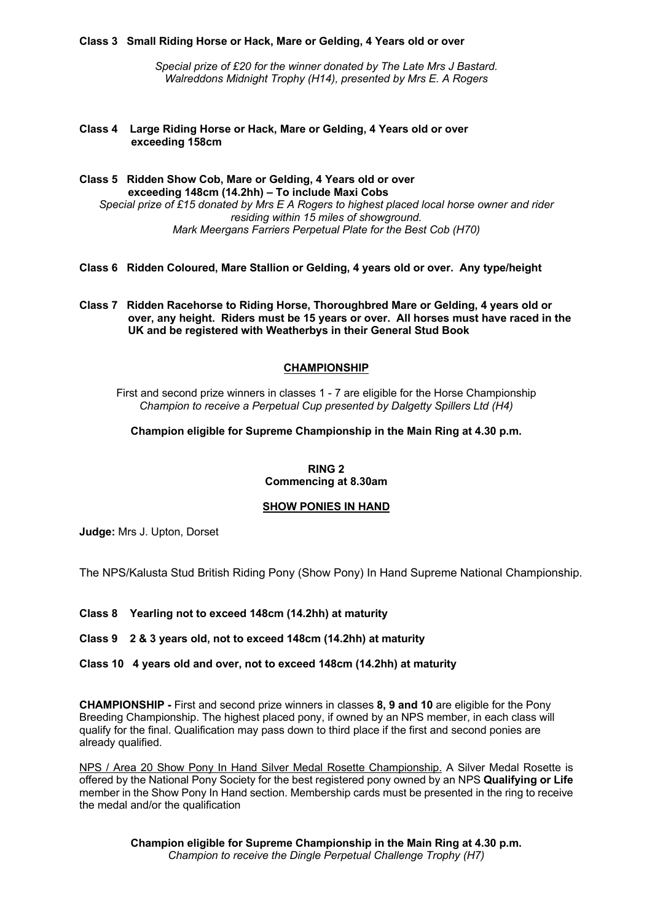#### **Class 3 Small Riding Horse or Hack, Mare or Gelding, 4 Years old or over**

*Special prize of £20 for the winner donated by The Late Mrs J Bastard. Walreddons Midnight Trophy (H14), presented by Mrs E. A Rogers*

**Class 4 Large Riding Horse or Hack, Mare or Gelding, 4 Years old or over exceeding 158cm**

**Class 5 Ridden Show Cob, Mare or Gelding, 4 Years old or over exceeding 148cm (14.2hh) – To include Maxi Cobs** *Special prize of £15 donated by Mrs E A Rogers to highest placed local horse owner and rider residing within 15 miles of showground. Mark Meergans Farriers Perpetual Plate for the Best Cob (H70)*

- **Class 6 Ridden Coloured, Mare Stallion or Gelding, 4 years old or over. Any type/height**
- **Class 7 Ridden Racehorse to Riding Horse, Thoroughbred Mare or Gelding, 4 years old or over, any height. Riders must be 15 years or over. All horses must have raced in the UK and be registered with Weatherbys in their General Stud Book**

# **CHAMPIONSHIP**

First and second prize winners in classes 1 - 7 are eligible for the Horse Championship *Champion to receive a Perpetual Cup presented by Dalgetty Spillers Ltd (H4)*

**Champion eligible for Supreme Championship in the Main Ring at 4.30 p.m.**

**RING 2 Commencing at 8.30am**

#### **SHOW PONIES IN HAND**

**Judge:** Mrs J. Upton, Dorset

The NPS/Kalusta Stud British Riding Pony (Show Pony) In Hand Supreme National Championship.

**Class 8 Yearling not to exceed 148cm (14.2hh) at maturity**

**Class 9 2 & 3 years old, not to exceed 148cm (14.2hh) at maturity**

# **Class 10 4 years old and over, not to exceed 148cm (14.2hh) at maturity**

**CHAMPIONSHIP -** First and second prize winners in classes **8, 9 and 10** are eligible for the Pony Breeding Championship. The highest placed pony, if owned by an NPS member, in each class will qualify for the final. Qualification may pass down to third place if the first and second ponies are already qualified.

NPS / Area 20 Show Pony In Hand Silver Medal Rosette Championship. A Silver Medal Rosette is offered by the National Pony Society for the best registered pony owned by an NPS **Qualifying or Life**  member in the Show Pony In Hand section. Membership cards must be presented in the ring to receive the medal and/or the qualification

> **Champion eligible for Supreme Championship in the Main Ring at 4.30 p.m.** *Champion to receive the Dingle Perpetual Challenge Trophy (H7)*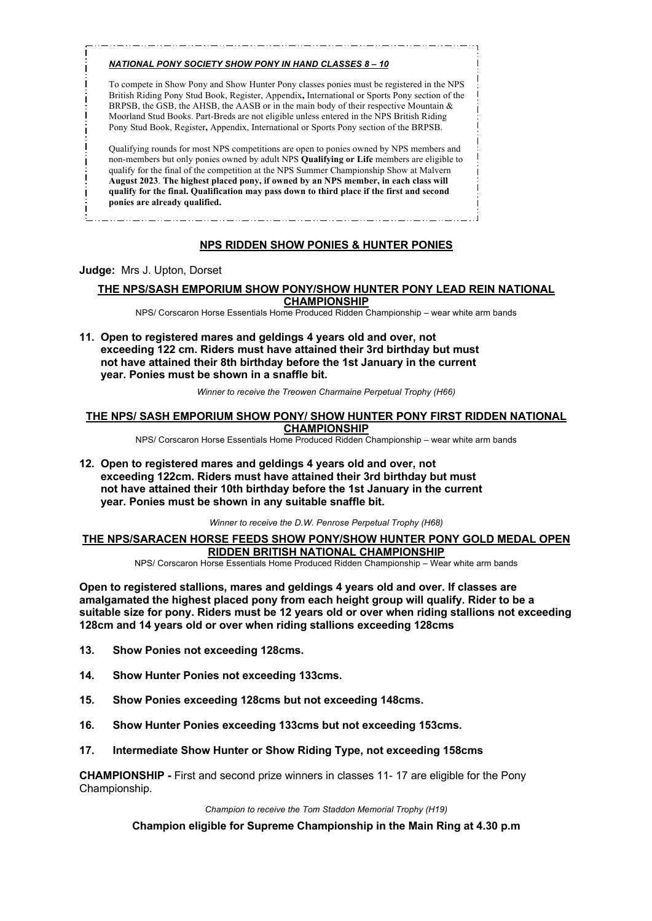#### *NATIONAL PONY SOCIETY SHOW PONY IN HAND CLASSES 8 – 10*

To compete in Show Pony and Show Hunter Pony classes ponies must be registered in the NPS British Riding Pony Stud Book, Register, Appendix**,** International or Sports Pony section of the BRPSB, the GSB, the AHSB, the AASB or in the main body of their respective Mountain & Moorland Stud Books. Part-Breds are not eligible unless entered in the NPS British Riding Pony Stud Book, Register**,** Appendix, International or Sports Pony section of the BRPSB.

Qualifying rounds for most NPS competitions are open to ponies owned by NPS members and non-members but only ponies owned by adult NPS **Qualifying or Life** members are eligible to qualify for the final of the competition at the NPS Summer Championship Show at Malvern **August 2023**. **The highest placed pony, if owned by an NPS member, in each class will qualify for the final. Qualification may pass down to third place if the first and second ponies are already qualified.**

# **NPS RIDDEN SHOW PONIES & HUNTER PONIES**

#### **Judge:** Mrs J. Upton, Dorset

# **THE NPS/SASH EMPORIUM SHOW PONY/SHOW HUNTER PONY LEAD REIN NATIONAL CHAMPIONSHIP**

NPS/ Corscaron Horse Essentials Home Produced Ridden Championship – wear white arm bands

**11. Open to registered mares and geldings 4 years old and over, not exceeding 122 cm. Riders must have attained their 3rd birthday but must not have attained their 8th birthday before the 1st January in the current year. Ponies must be shown in a snaffle bit.** 

*Winner to receive the Treowen Charmaine Perpetual Trophy (H66)*

#### **THE NPS/ SASH EMPORIUM SHOW PONY/ SHOW HUNTER PONY FIRST RIDDEN NATIONAL CHAMPIONSHIP**

NPS/ Corscaron Horse Essentials Home Produced Ridden Championship – wear white arm bands

**12. Open to registered mares and geldings 4 years old and over, not exceeding 122cm. Riders must have attained their 3rd birthday but must not have attained their 10th birthday before the 1st January in the current year. Ponies must be shown in any suitable snaffle bit.**

*Winner to receive the D.W. Penrose Perpetual Trophy (H68)*

# **THE NPS/SARACEN HORSE FEEDS SHOW PONY/SHOW HUNTER PONY GOLD MEDAL OPEN RIDDEN BRITISH NATIONAL CHAMPIONSHIP**

NPS/ Corscaron Horse Essentials Home Produced Ridden Championship – Wear white arm bands

**Open to registered stallions, mares and geldings 4 years old and over. If classes are amalgamated the highest placed pony from each height group will qualify. Rider to be a suitable size for pony. Riders must be 12 years old or over when riding stallions not exceeding 128cm and 14 years old or over when riding stallions exceeding 128cms**

- **13. Show Ponies not exceeding 128cms.**
- **14. Show Hunter Ponies not exceeding 133cms.**
- **15. Show Ponies exceeding 128cms but not exceeding 148cms.**
- **16. Show Hunter Ponies exceeding 133cms but not exceeding 153cms.**
- **17. Intermediate Show Hunter or Show Riding Type, not exceeding 158cms**

**CHAMPIONSHIP -** First and second prize winners in classes 11- 17 are eligible for the Pony Championship.

*Champion to receive the Tom Staddon Memorial Trophy (H19)*

**Champion eligible for Supreme Championship in the Main Ring at 4.30 p.m**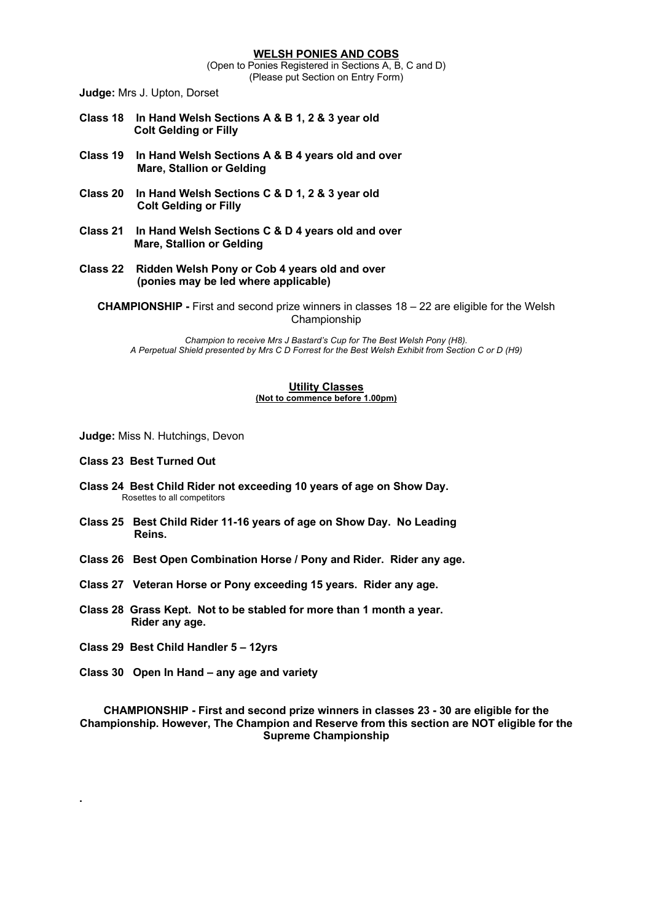(Open to Ponies Registered in Sections A, B, C and D) (Please put Section on Entry Form)

**Judge:** Mrs J. Upton, Dorset

- **Class 18 In Hand Welsh Sections A & B 1, 2 & 3 year old Colt Gelding or Filly**
- **Class 19 In Hand Welsh Sections A & B 4 years old and over Mare, Stallion or Gelding**
- **Class 20 In Hand Welsh Sections C & D 1, 2 & 3 year old Colt Gelding or Filly**
- **Class 21 In Hand Welsh Sections C & D 4 years old and over Mare, Stallion or Gelding**
- **Class 22 Ridden Welsh Pony or Cob 4 years old and over (ponies may be led where applicable)**

**CHAMPIONSHIP -** First and second prize winners in classes 18 – 22 are eligible for the Welsh Championship

*Champion to receive Mrs J Bastard's Cup for The Best Welsh Pony (H8). A Perpetual Shield presented by Mrs C D Forrest for the Best Welsh Exhibit from Section C or D (H9)*

#### **Utility Classes (Not to commence before 1.00pm)**

**Judge:** Miss N. Hutchings, Devon

- **Class 23 Best Turned Out**
- **Class 24 Best Child Rider not exceeding 10 years of age on Show Day.** Rosettes to all competitors
- **Class 25 Best Child Rider 11-16 years of age on Show Day. No Leading Reins.**
- **Class 26 Best Open Combination Horse / Pony and Rider. Rider any age.**
- **Class 27 Veteran Horse or Pony exceeding 15 years. Rider any age.**
- **Class 28 Grass Kept. Not to be stabled for more than 1 month a year. Rider any age.**
- **Class 29 Best Child Handler 5 – 12yrs**

**.** 

**Class 30 Open In Hand – any age and variety**

**CHAMPIONSHIP - First and second prize winners in classes 23 - 30 are eligible for the Championship. However, The Champion and Reserve from this section are NOT eligible for the Supreme Championship**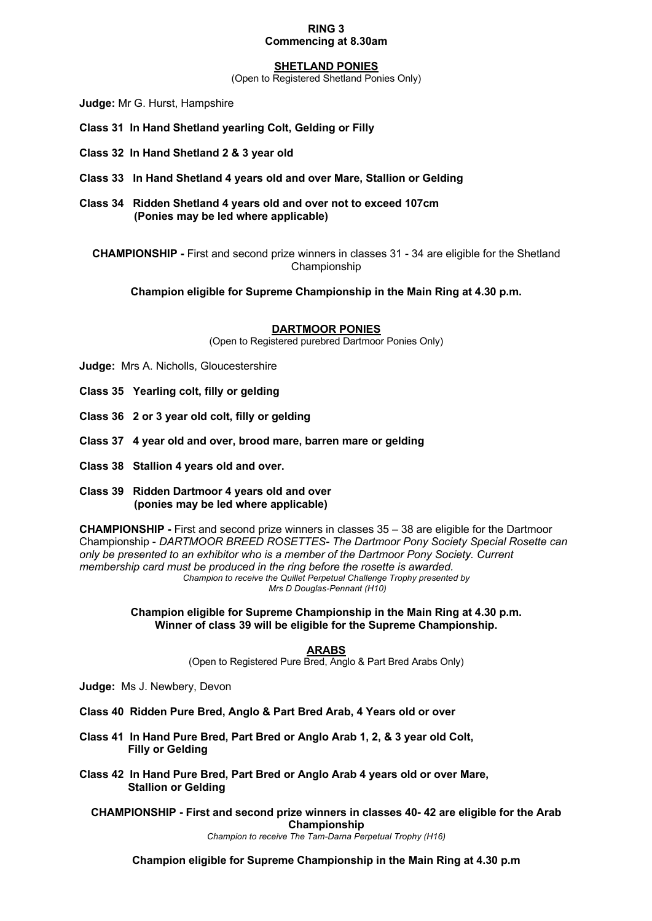#### **RING 3 Commencing at 8.30am**

#### **SHETLAND PONIES**

(Open to Registered Shetland Ponies Only)

**Judge:** Mr G. Hurst, Hampshire

- **Class 31 In Hand Shetland yearling Colt, Gelding or Filly**
- **Class 32 In Hand Shetland 2 & 3 year old**
- **Class 33 In Hand Shetland 4 years old and over Mare, Stallion or Gelding**
- **Class 34 Ridden Shetland 4 years old and over not to exceed 107cm (Ponies may be led where applicable)**

**CHAMPIONSHIP -** First and second prize winners in classes 31 - 34 are eligible for the Shetland Championship

**Champion eligible for Supreme Championship in the Main Ring at 4.30 p.m.**

#### **DARTMOOR PONIES**

(Open to Registered purebred Dartmoor Ponies Only)

- **Judge:** Mrs A. Nicholls, Gloucestershire
- **Class 35 Yearling colt, filly or gelding**
- **Class 36 2 or 3 year old colt, filly or gelding**
- **Class 37 4 year old and over, brood mare, barren mare or gelding**
- **Class 38 Stallion 4 years old and over.**
- **Class 39 Ridden Dartmoor 4 years old and over (ponies may be led where applicable)**

**CHAMPIONSHIP -** First and second prize winners in classes 35 – 38 are eligible for the Dartmoor Championship - *DARTMOOR BREED ROSETTES- The Dartmoor Pony Society Special Rosette can only be presented to an exhibitor who is a member of the Dartmoor Pony Society. Current membership card must be produced in the ring before the rosette is awarded. Champion to receive the Quillet Perpetual Challenge Trophy presented by Mrs D Douglas-Pennant (H10)*

> **Champion eligible for Supreme Championship in the Main Ring at 4.30 p.m. Winner of class 39 will be eligible for the Supreme Championship.**

#### **ARABS**

(Open to Registered Pure Bred, Anglo & Part Bred Arabs Only)

- **Judge:** Ms J. Newbery, Devon
- **Class 40 Ridden Pure Bred, Anglo & Part Bred Arab, 4 Years old or over**
- **Class 41 In Hand Pure Bred, Part Bred or Anglo Arab 1, 2, & 3 year old Colt, Filly or Gelding**
- **Class 42 In Hand Pure Bred, Part Bred or Anglo Arab 4 years old or over Mare, Stallion or Gelding**

**CHAMPIONSHIP - First and second prize winners in classes 40- 42 are eligible for the Arab Championship**

*Champion to receive The Tam-Darna Perpetual Trophy (H16)*

**Champion eligible for Supreme Championship in the Main Ring at 4.30 p.m**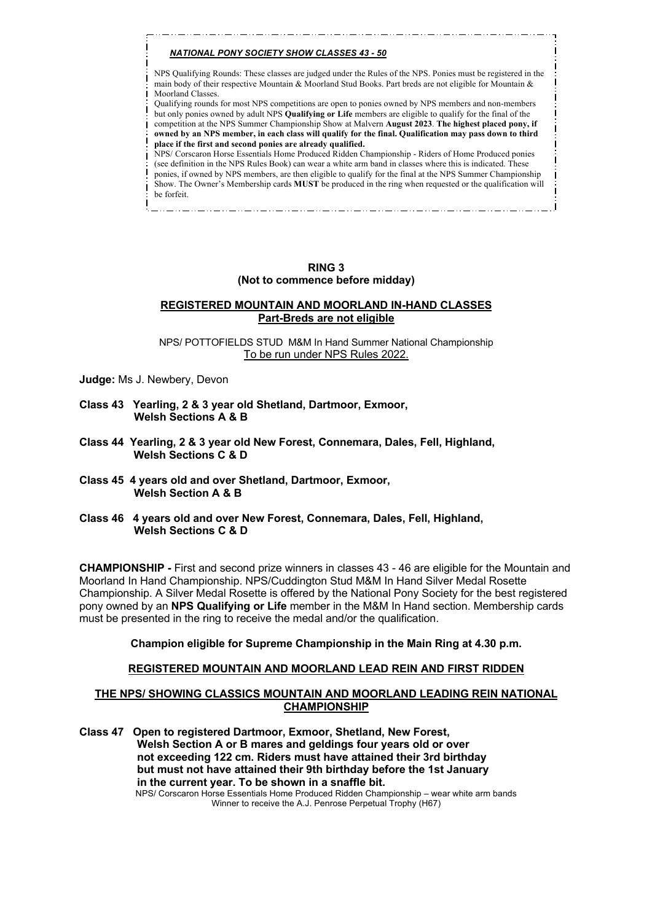#### *NATIONAL PONY SOCIETY SHOW CLASSES 43 - 50*

NPS Qualifying Rounds: These classes are judged under the Rules of the NPS. Ponies must be registered in the main body of their respective Mountain & Moorland Stud Books. Part breds are not eligible for Mountain & Moorland Classes.

Qualifying rounds for most NPS competitions are open to ponies owned by NPS members and non-members but only ponies owned by adult NPS **Qualifying or Life** members are eligible to qualify for the final of the competition at the NPS Summer Championship Show at Malvern **August 2023**. **The highest placed pony, if owned by an NPS member, in each class will qualify for the final. Qualification may pass down to third place if the first and second ponies are already qualified.** NPS/ Corscaron Horse Essentials Home Produced Ridden Championship - Riders of Home Produced ponies

(see definition in the NPS Rules Book) can wear a white arm band in classes where this is indicated. These ponies, if owned by NPS members, are then eligible to qualify for the final at the NPS Summer Championship Show. The Owner's Membership cards **MUST** be produced in the ring when requested or the qualification will be forfeit.

## **RING 3 (Not to commence before midday)**

## **REGISTERED MOUNTAIN AND MOORLAND IN-HAND CLASSES Part-Breds are not eligible**

NPS/ POTTOFIELDS STUD M&M In Hand Summer National Championship To be run under NPS Rules 2022.

**Judge:** Ms J. Newbery, Devon

- **Class 43 Yearling, 2 & 3 year old Shetland, Dartmoor, Exmoor, Welsh Sections A & B**
- **Class 44 Yearling, 2 & 3 year old New Forest, Connemara, Dales, Fell, Highland, Welsh Sections C & D**
- **Class 45 4 years old and over Shetland, Dartmoor, Exmoor, Welsh Section A & B**
- **Class 46 4 years old and over New Forest, Connemara, Dales, Fell, Highland, Welsh Sections C & D**

**CHAMPIONSHIP -** First and second prize winners in classes 43 - 46 are eligible for the Mountain and Moorland In Hand Championship. NPS/Cuddington Stud M&M In Hand Silver Medal Rosette Championship. A Silver Medal Rosette is offered by the National Pony Society for the best registered pony owned by an **NPS Qualifying or Life** member in the M&M In Hand section. Membership cards must be presented in the ring to receive the medal and/or the qualification.

#### **Champion eligible for Supreme Championship in the Main Ring at 4.30 p.m.**

#### **REGISTERED MOUNTAIN AND MOORLAND LEAD REIN AND FIRST RIDDEN**

#### **THE NPS/ SHOWING CLASSICS MOUNTAIN AND MOORLAND LEADING REIN NATIONAL CHAMPIONSHIP**

**Class 47 Open to registered Dartmoor, Exmoor, Shetland, New Forest, Welsh Section A or B mares and geldings four years old or over not exceeding 122 cm. Riders must have attained their 3rd birthday but must not have attained their 9th birthday before the 1st January in the current year. To be shown in a snaffle bit.** NPS/ Corscaron Horse Essentials Home Produced Ridden Championship – wear white arm bands Winner to receive the A.J. Penrose Perpetual Trophy (H67)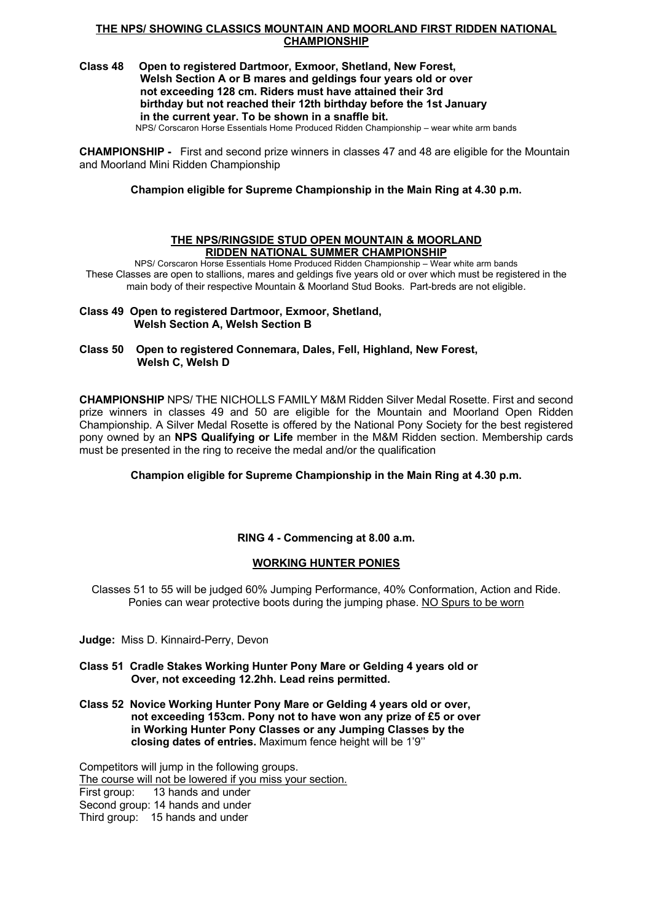#### **THE NPS/ SHOWING CLASSICS MOUNTAIN AND MOORLAND FIRST RIDDEN NATIONAL CHAMPIONSHIP**

# **Class 48 Open to registered Dartmoor, Exmoor, Shetland, New Forest, Welsh Section A or B mares and geldings four years old or over not exceeding 128 cm. Riders must have attained their 3rd birthday but not reached their 12th birthday before the 1st January in the current year. To be shown in a snaffle bit.**

NPS/ Corscaron Horse Essentials Home Produced Ridden Championship – wear white arm bands

**CHAMPIONSHIP -** First and second prize winners in classes 47 and 48 are eligible for the Mountain and Moorland Mini Ridden Championship

**Champion eligible for Supreme Championship in the Main Ring at 4.30 p.m.**

## **THE NPS/RINGSIDE STUD OPEN MOUNTAIN & MOORLAND RIDDEN NATIONAL SUMMER CHAMPIONSHIP**

NPS/ Corscaron Horse Essentials Home Produced Ridden Championship – Wear white arm bands These Classes are open to stallions, mares and geldings five years old or over which must be registered in the main body of their respective Mountain & Moorland Stud Books. Part-breds are not eligible.

**Class 49 Open to registered Dartmoor, Exmoor, Shetland, Welsh Section A, Welsh Section B**

**Class 50 Open to registered Connemara, Dales, Fell, Highland, New Forest, Welsh C, Welsh D** 

**CHAMPIONSHIP** NPS/ THE NICHOLLS FAMILY M&M Ridden Silver Medal Rosette. First and second prize winners in classes 49 and 50 are eligible for the Mountain and Moorland Open Ridden Championship. A Silver Medal Rosette is offered by the National Pony Society for the best registered pony owned by an **NPS Qualifying or Life** member in the M&M Ridden section. Membership cards must be presented in the ring to receive the medal and/or the qualification

**Champion eligible for Supreme Championship in the Main Ring at 4.30 p.m.**

# **RING 4 - Commencing at 8.00 a.m.**

# **WORKING HUNTER PONIES**

Classes 51 to 55 will be judged 60% Jumping Performance, 40% Conformation, Action and Ride. Ponies can wear protective boots during the jumping phase. NO Spurs to be worn

**Judge:** Miss D. Kinnaird-Perry, Devon

- **Class 51 Cradle Stakes Working Hunter Pony Mare or Gelding 4 years old or Over, not exceeding 12.2hh. Lead reins permitted.**
- **Class 52 Novice Working Hunter Pony Mare or Gelding 4 years old or over, not exceeding 153cm. Pony not to have won any prize of £5 or over in Working Hunter Pony Classes or any Jumping Classes by the closing dates of entries.** Maximum fence height will be 1'9''

Competitors will jump in the following groups. The course will not be lowered if you miss your section. First group: 13 hands and under Second group: 14 hands and under Third group: 15 hands and under